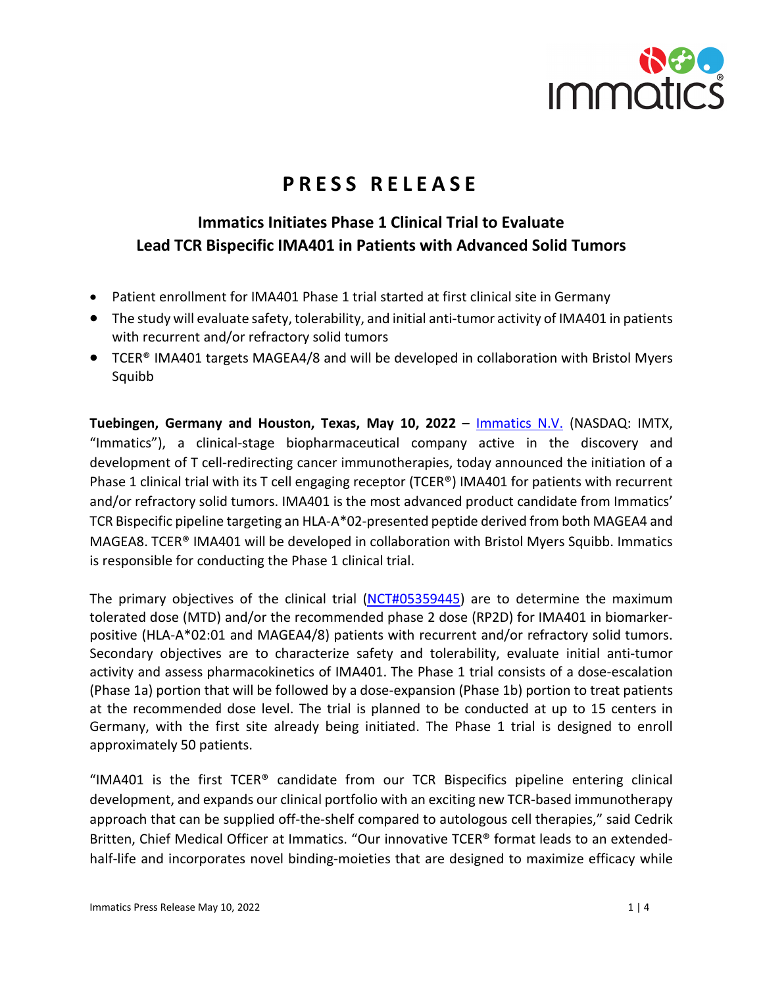

# **PRESS RELEASE**

## **Immatics Initiates Phase 1 Clinical Trial to Evaluate Lead TCR Bispecific IMA401 in Patients with Advanced Solid Tumors**

- Patient enrollment for IMA401 Phase 1 trial started at first clinical site in Germany
- The study will evaluate safety, tolerability, and initial anti-tumor activity of IMA401 in patients with recurrent and/or refractory solid tumors
- TCER® IMA401 targets MAGEA4/8 and will be developed in collaboration with Bristol Myers Squibb

**Tuebingen, Germany and Houston, Texas, May 10, 2022** – [Immatics N.V.](https://immatics.com/) (NASDAQ: IMTX, "Immatics"), a clinical-stage biopharmaceutical company active in the discovery and development of T cell-redirecting cancer immunotherapies, today announced the initiation of a Phase 1 clinical trial with its T cell engaging receptor (TCER®) IMA401 for patients with recurrent and/or refractory solid tumors. IMA401 is the most advanced product candidate from Immatics' TCR Bispecific pipeline targeting an HLA-A\*02-presented peptide derived from both MAGEA4 and MAGEA8. TCER® IMA401 will be developed in collaboration with Bristol Myers Squibb. Immatics is responsible for conducting the Phase 1 clinical trial.

The primary objectives of the clinical trial [\(NCT#05359445\)](https://clinicaltrials.gov/ct2/show/NCT05359445?term=immatics&draw=2&rank=1) are to determine the maximum tolerated dose (MTD) and/or the recommended phase 2 dose (RP2D) for IMA401 in biomarkerpositive (HLA-A\*02:01 and MAGEA4/8) patients with recurrent and/or refractory solid tumors. Secondary objectives are to characterize safety and tolerability, evaluate initial anti-tumor activity and assess pharmacokinetics of IMA401. The Phase 1 trial consists of a dose-escalation (Phase 1a) portion that will be followed by a dose-expansion (Phase 1b) portion to treat patients at the recommended dose level. The trial is planned to be conducted at up to 15 centers in Germany, with the first site already being initiated. The Phase 1 trial is designed to enroll approximately 50 patients.

"IMA401 is the first TCER® candidate from our TCR Bispecifics pipeline entering clinical development, and expands our clinical portfolio with an exciting new TCR-based immunotherapy approach that can be supplied off-the-shelf compared to autologous cell therapies," said Cedrik Britten, Chief Medical Officer at Immatics. "Our innovative TCER® format leads to an extendedhalf-life and incorporates novel binding-moieties that are designed to maximize efficacy while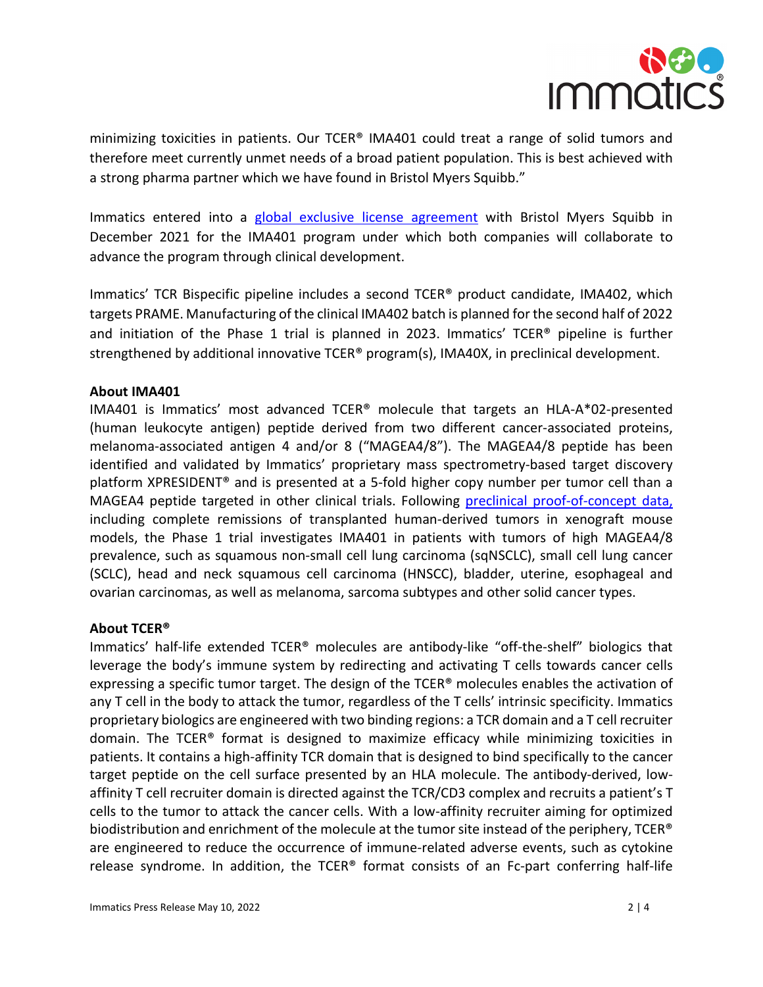

minimizing toxicities in patients. Our TCER® IMA401 could treat a range of solid tumors and therefore meet currently unmet needs of a broad patient population. This is best achieved with a strong pharma partner which we have found in Bristol Myers Squibb."

Immatics entered into a [global exclusive license agreement](https://investors.immatics.com/news-releases/news-release-details/immatics-and-bristol-myers-squibb-enter-global-exclusive-0) with Bristol Myers Squibb in December 2021 for the IMA401 program under which both companies will collaborate to advance the program through clinical development.

Immatics' TCR Bispecific pipeline includes a second TCER® product candidate, IMA402, which targets PRAME. Manufacturing of the clinical IMA402 batch is planned forthe second half of 2022 and initiation of the Phase 1 trial is planned in 2023. Immatics' TCER® pipeline is further strengthened by additional innovative TCER<sup>®</sup> program(s), IMA40X, in preclinical development.

### **About IMA401**

IMA401 is Immatics' most advanced TCER® molecule that targets an HLA-A\*02-presented (human leukocyte antigen) peptide derived from two different cancer-associated proteins, melanoma-associated antigen 4 and/or 8 ("MAGEA4/8"). The MAGEA4/8 peptide has been identified and validated by Immatics' proprietary mass spectrometry-based target discovery platform XPRESIDENT® and is presented at a 5-fold higher copy number per tumor cell than a MAGEA4 peptide targeted in other clinical trials. Following [preclinical proof-of-concept data,](https://investors.immatics.com/news-releases/news-release-details/immatics-presents-preclinical-proof-concept-data-tcr-bispecifics) including complete remissions of transplanted human-derived tumors in xenograft mouse models, the Phase 1 trial investigates IMA401 in patients with tumors of high MAGEA4/8 prevalence, such as squamous non-small cell lung carcinoma (sqNSCLC), small cell lung cancer (SCLC), head and neck squamous cell carcinoma (HNSCC), bladder, uterine, esophageal and ovarian carcinomas, as well as melanoma, sarcoma subtypes and other solid cancer types.

#### **About TCER®**

Immatics' half-life extended TCER® molecules are antibody-like "off-the-shelf" biologics that leverage the body's immune system by redirecting and activating T cells towards cancer cells expressing a specific tumor target. The design of the TCER® molecules enables the activation of any T cell in the body to attack the tumor, regardless of the T cells' intrinsic specificity. Immatics proprietary biologics are engineered with two binding regions: a TCR domain and a T cell recruiter domain. The TCER® format is designed to maximize efficacy while minimizing toxicities in patients. It contains a high-affinity TCR domain that is designed to bind specifically to the cancer target peptide on the cell surface presented by an HLA molecule. The antibody-derived, lowaffinity T cell recruiter domain is directed against the TCR/CD3 complex and recruits a patient's T cells to the tumor to attack the cancer cells. With a low-affinity recruiter aiming for optimized biodistribution and enrichment of the molecule at the tumor site instead of the periphery, TCER® are engineered to reduce the occurrence of immune-related adverse events, such as cytokine release syndrome. In addition, the TCER® format consists of an Fc-part conferring half-life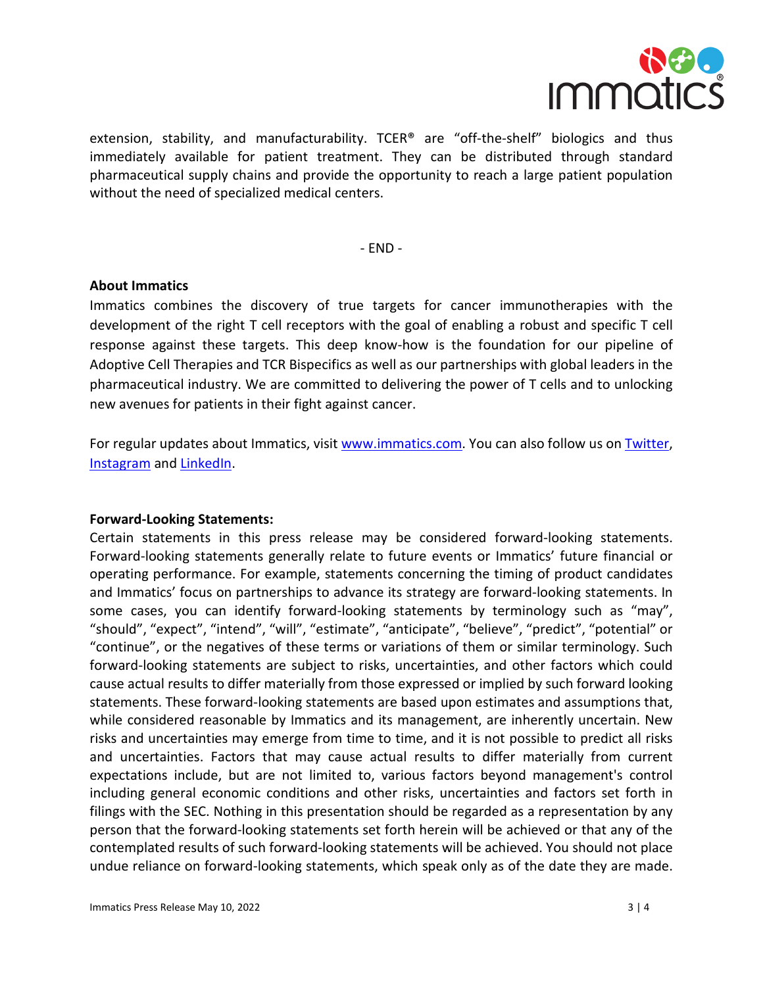

extension, stability, and manufacturability. TCER<sup>®</sup> are "off-the-shelf" biologics and thus immediately available for patient treatment. They can be distributed through standard pharmaceutical supply chains and provide the opportunity to reach a large patient population without the need of specialized medical centers.

- END -

#### **About Immatics**

Immatics combines the discovery of true targets for cancer immunotherapies with the development of the right T cell receptors with the goal of enabling a robust and specific T cell response against these targets. This deep know-how is the foundation for our pipeline of Adoptive Cell Therapies and TCR Bispecifics as well as our partnerships with global leaders in the pharmaceutical industry. We are committed to delivering the power of T cells and to unlocking new avenues for patients in their fight against cancer.

For regular updates about Immatics, visit [www.immatics.com.](http://www.immatics.com/) You can also follow us o[n Twitter,](https://twitter.com/immatics) [Instagram](https://www.instagram.com/immatics/) an[d LinkedIn.](https://www.linkedin.com/company/immatics-biotechnologies/)

#### **Forward-Looking Statements:**

Certain statements in this press release may be considered forward-looking statements. Forward-looking statements generally relate to future events or Immatics' future financial or operating performance. For example, statements concerning the timing of product candidates and Immatics' focus on partnerships to advance its strategy are forward-looking statements. In some cases, you can identify forward-looking statements by terminology such as "may", "should", "expect", "intend", "will", "estimate", "anticipate", "believe", "predict", "potential" or "continue", or the negatives of these terms or variations of them or similar terminology. Such forward-looking statements are subject to risks, uncertainties, and other factors which could cause actual results to differ materially from those expressed or implied by such forward looking statements. These forward-looking statements are based upon estimates and assumptions that, while considered reasonable by Immatics and its management, are inherently uncertain. New risks and uncertainties may emerge from time to time, and it is not possible to predict all risks and uncertainties. Factors that may cause actual results to differ materially from current expectations include, but are not limited to, various factors beyond management's control including general economic conditions and other risks, uncertainties and factors set forth in filings with the SEC. Nothing in this presentation should be regarded as a representation by any person that the forward-looking statements set forth herein will be achieved or that any of the contemplated results of such forward-looking statements will be achieved. You should not place undue reliance on forward-looking statements, which speak only as of the date they are made.